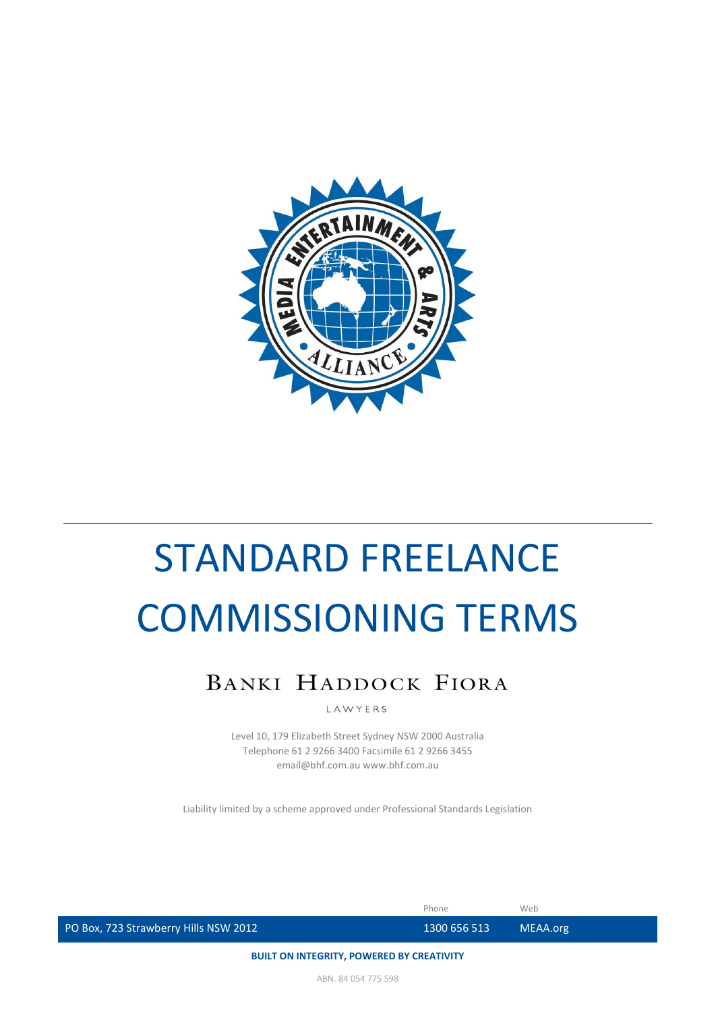

# BANKI HADDOCK FIORA

LAWYERS

Level 10, 179 Elizabeth Street Sydney NSW 2000 Australia Telephone 61 2 9266 3400 Facsimile 61 2 9266 3455 email@bhf.com.au www.bhf.com.au

Liability limited by a scheme approved under Professional Standards Legislation

|                                       | Phone            | Web      |
|---------------------------------------|------------------|----------|
| PO Box, 723 Strawberry Hills NSW 2012 | ' 1300 656 513 ا | MEAA.org |
|                                       |                  |          |

**BUILT ON INTEGRITY, POWERED BY CREATIVITY**

ABN. 84 054 775 598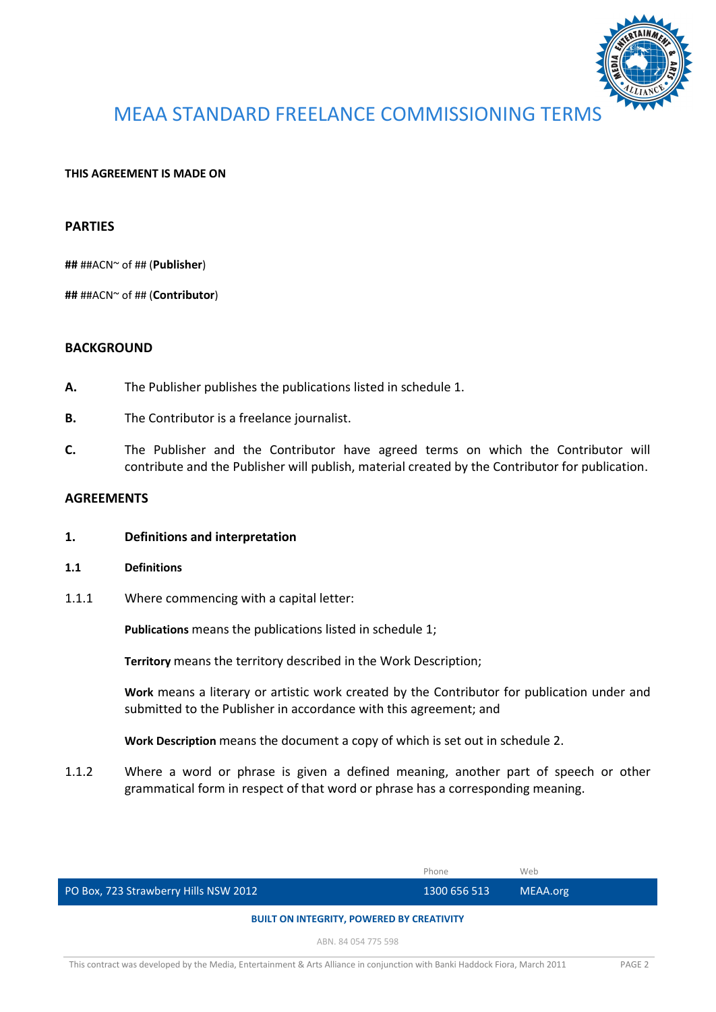

#### **THIS AGREEMENT IS MADE ON**

#### **PARTIES**

**##** ##ACN~ of ## (**Publisher**)

**##** ##ACN~ of ## (**Contributor**)

#### **BACKGROUND**

- **A.** The Publisher publishes the publications listed in schedule 1.
- **B.** The Contributor is a freelance journalist.
- **C.** The Publisher and the Contributor have agreed terms on which the Contributor will contribute and the Publisher will publish, material created by the Contributor for publication.

#### **AGREEMENTS**

- **1. Definitions and interpretation**
- **1.1 Definitions**
- 1.1.1 Where commencing with a capital letter:

**Publications** means the publications listed in schedule 1;

**Territory** means the territory described in the Work Description;

**Work** means a literary or artistic work created by the Contributor for publication under and submitted to the Publisher in accordance with this agreement; and

**Work Description** means the document a copy of which is set out in schedule 2.

1.1.2 Where a word or phrase is given a defined meaning, another part of speech or other grammatical form in respect of that word or phrase has a corresponding meaning.

|                                                  | Phone        | Web      |
|--------------------------------------------------|--------------|----------|
| PO Box, 723 Strawberry Hills NSW 2012            | 1300 656 513 | MEAA.org |
| <b>BUILT ON INTEGRITY, POWERED BY CREATIVITY</b> |              |          |

ABN. 84 054 775 598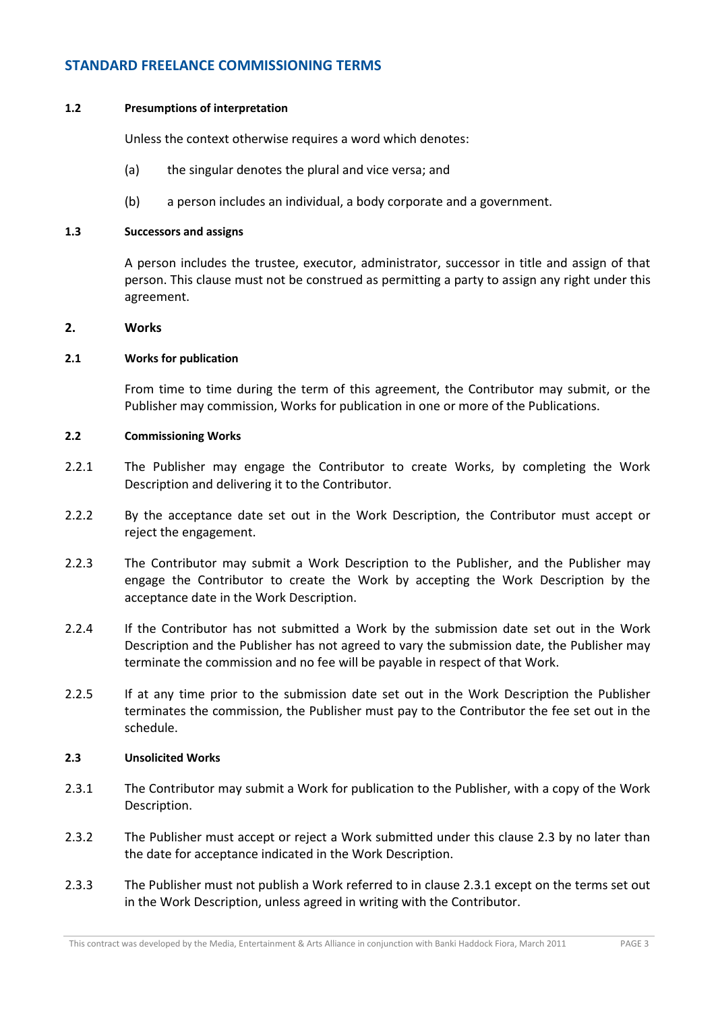#### **1.2 Presumptions of interpretation**

Unless the context otherwise requires a word which denotes:

- (a) the singular denotes the plural and vice versa; and
- (b) a person includes an individual, a body corporate and a government.

#### **1.3 Successors and assigns**

A person includes the trustee, executor, administrator, successor in title and assign of that person. This clause must not be construed as permitting a party to assign any right under this agreement.

#### **2. Works**

#### **2.1 Works for publication**

From time to time during the term of this agreement, the Contributor may submit, or the Publisher may commission, Works for publication in one or more of the Publications.

#### **2.2 Commissioning Works**

- 2.2.1 The Publisher may engage the Contributor to create Works, by completing the Work Description and delivering it to the Contributor.
- 2.2.2 By the acceptance date set out in the Work Description, the Contributor must accept or reject the engagement.
- 2.2.3 The Contributor may submit a Work Description to the Publisher, and the Publisher may engage the Contributor to create the Work by accepting the Work Description by the acceptance date in the Work Description.
- 2.2.4 If the Contributor has not submitted a Work by the submission date set out in the Work Description and the Publisher has not agreed to vary the submission date, the Publisher may terminate the commission and no fee will be payable in respect of that Work.
- 2.2.5 If at any time prior to the submission date set out in the Work Description the Publisher terminates the commission, the Publisher must pay to the Contributor the fee set out in the schedule.

#### **2.3 Unsolicited Works**

- 2.3.1 The Contributor may submit a Work for publication to the Publisher, with a copy of the Work Description.
- 2.3.2 The Publisher must accept or reject a Work submitted under this clause 2.3 by no later than the date for acceptance indicated in the Work Description.
- 2.3.3 The Publisher must not publish a Work referred to in clause 2.3.1 except on the terms set out in the Work Description, unless agreed in writing with the Contributor.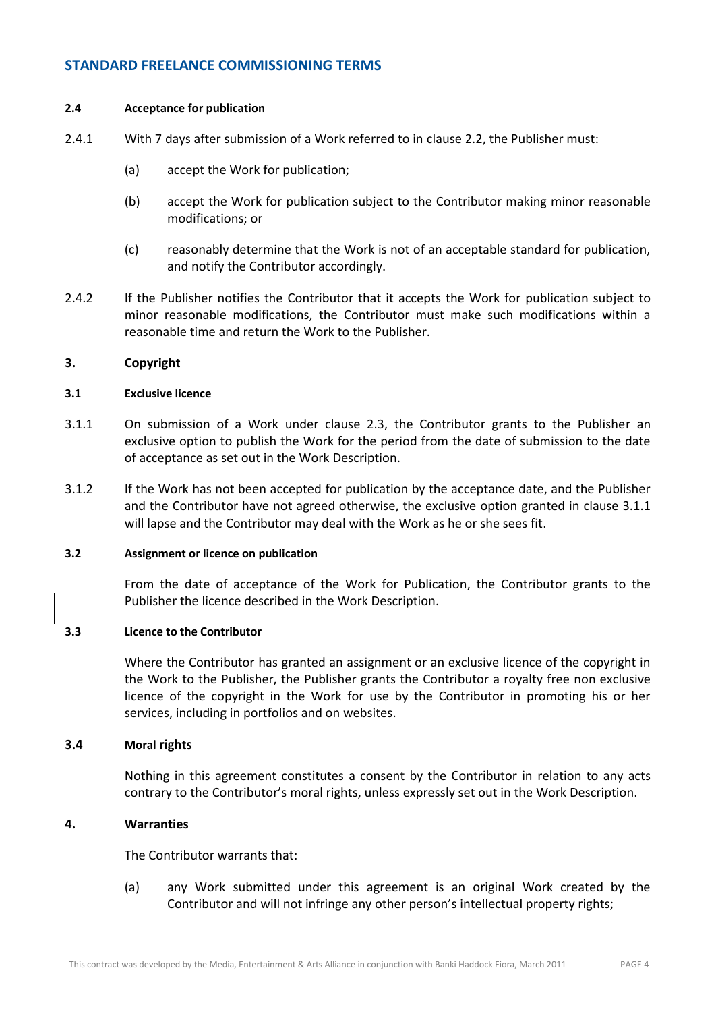#### **2.4 Acceptance for publication**

- 2.4.1 With 7 days after submission of a Work referred to in clause 2.2, the Publisher must:
	- (a) accept the Work for publication;
	- (b) accept the Work for publication subject to the Contributor making minor reasonable modifications; or
	- (c) reasonably determine that the Work is not of an acceptable standard for publication, and notify the Contributor accordingly.
- 2.4.2 If the Publisher notifies the Contributor that it accepts the Work for publication subject to minor reasonable modifications, the Contributor must make such modifications within a reasonable time and return the Work to the Publisher.

#### **3. Copyright**

#### **3.1 Exclusive licence**

- 3.1.1 On submission of a Work under clause 2.3, the Contributor grants to the Publisher an exclusive option to publish the Work for the period from the date of submission to the date of acceptance as set out in the Work Description.
- 3.1.2 If the Work has not been accepted for publication by the acceptance date, and the Publisher and the Contributor have not agreed otherwise, the exclusive option granted in clause 3.1.1 will lapse and the Contributor may deal with the Work as he or she sees fit.

#### **3.2 Assignment or licence on publication**

From the date of acceptance of the Work for Publication, the Contributor grants to the Publisher the licence described in the Work Description.

## **3.3 Licence to the Contributor**

Where the Contributor has granted an assignment or an exclusive licence of the copyright in the Work to the Publisher, the Publisher grants the Contributor a royalty free non exclusive licence of the copyright in the Work for use by the Contributor in promoting his or her services, including in portfolios and on websites.

#### **3.4 Moral rights**

Nothing in this agreement constitutes a consent by the Contributor in relation to any acts contrary to the Contributor's moral rights, unless expressly set out in the Work Description.

#### **4. Warranties**

The Contributor warrants that:

(a) any Work submitted under this agreement is an original Work created by the Contributor and will not infringe any other person's intellectual property rights;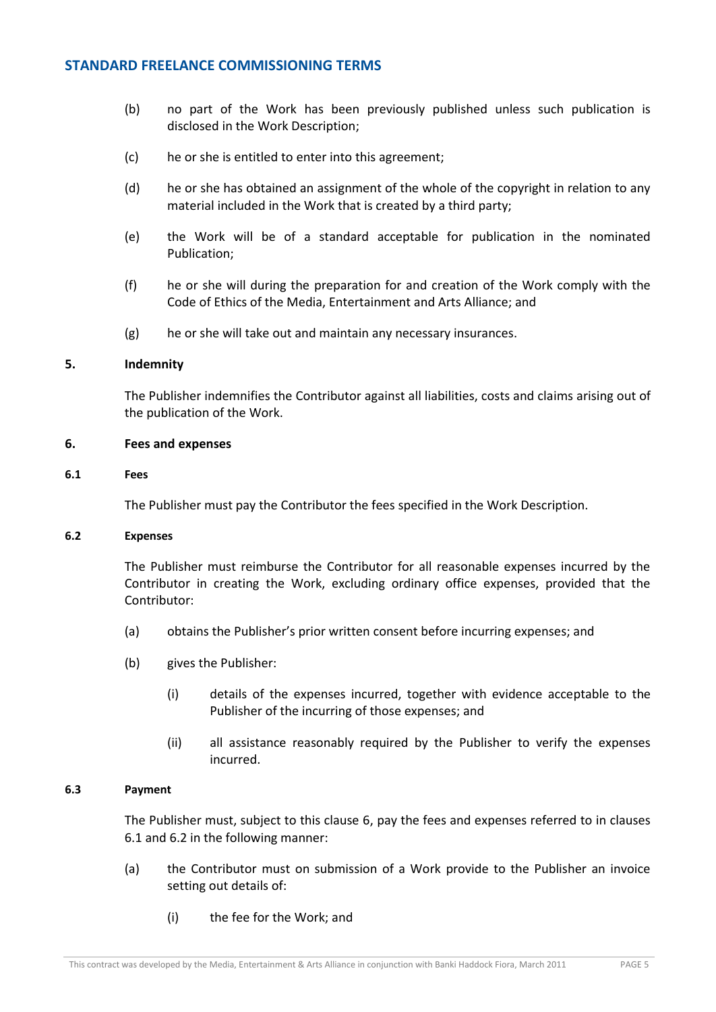- (b) no part of the Work has been previously published unless such publication is disclosed in the Work Description;
- (c) he or she is entitled to enter into this agreement;
- (d) he or she has obtained an assignment of the whole of the copyright in relation to any material included in the Work that is created by a third party;
- (e) the Work will be of a standard acceptable for publication in the nominated Publication;
- (f) he or she will during the preparation for and creation of the Work comply with the Code of Ethics of the Media, Entertainment and Arts Alliance; and
- $(g)$  he or she will take out and maintain any necessary insurances.

#### **5. Indemnity**

The Publisher indemnifies the Contributor against all liabilities, costs and claims arising out of the publication of the Work.

#### **6. Fees and expenses**

#### **6.1 Fees**

The Publisher must pay the Contributor the fees specified in the Work Description.

#### **6.2 Expenses**

The Publisher must reimburse the Contributor for all reasonable expenses incurred by the Contributor in creating the Work, excluding ordinary office expenses, provided that the Contributor:

- (a) obtains the Publisher's prior written consent before incurring expenses; and
- (b) gives the Publisher:
	- (i) details of the expenses incurred, together with evidence acceptable to the Publisher of the incurring of those expenses; and
	- (ii) all assistance reasonably required by the Publisher to verify the expenses incurred.

#### **6.3 Payment**

The Publisher must, subject to this clause 6, pay the fees and expenses referred to in clauses 6.1 and 6.2 in the following manner:

- (a) the Contributor must on submission of a Work provide to the Publisher an invoice setting out details of:
	- (i) the fee for the Work; and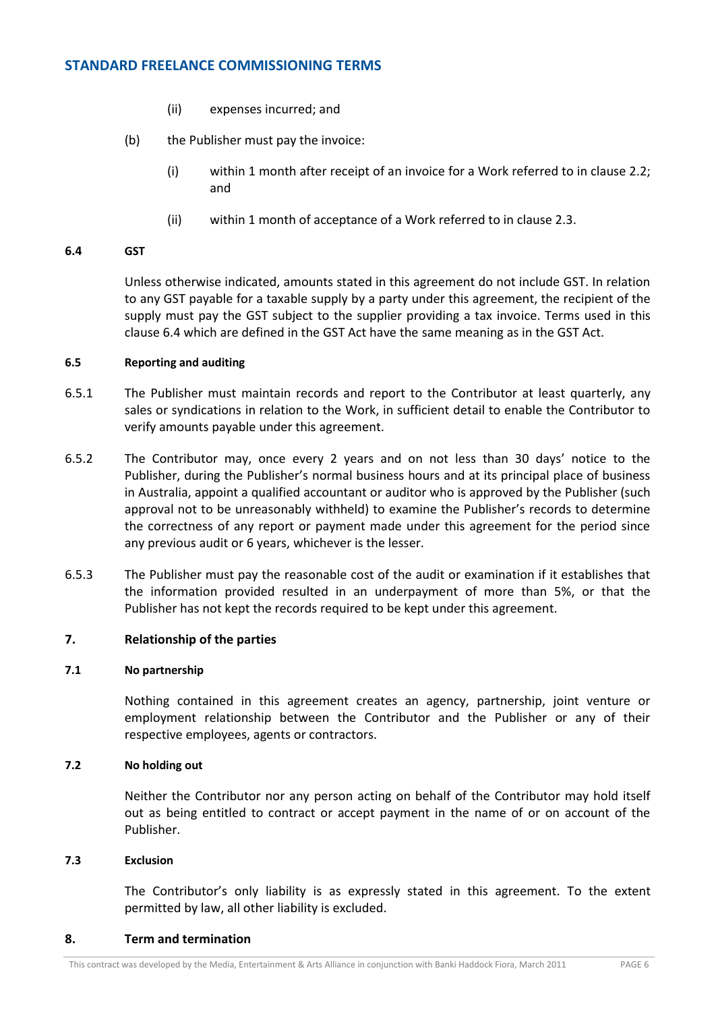- (ii) expenses incurred; and
- (b) the Publisher must pay the invoice:
	- (i) within 1 month after receipt of an invoice for a Work referred to in clause 2.2; and
	- (ii) within 1 month of acceptance of a Work referred to in clause 2.3.

#### **6.4 GST**

Unless otherwise indicated, amounts stated in this agreement do not include GST. In relation to any GST payable for a taxable supply by a party under this agreement, the recipient of the supply must pay the GST subject to the supplier providing a tax invoice. Terms used in this clause 6.4 which are defined in the GST Act have the same meaning as in the GST Act.

#### **6.5 Reporting and auditing**

- 6.5.1 The Publisher must maintain records and report to the Contributor at least quarterly, any sales or syndications in relation to the Work, in sufficient detail to enable the Contributor to verify amounts payable under this agreement.
- 6.5.2 The Contributor may, once every 2 years and on not less than 30 days' notice to the Publisher, during the Publisher's normal business hours and at its principal place of business in Australia, appoint a qualified accountant or auditor who is approved by the Publisher (such approval not to be unreasonably withheld) to examine the Publisher's records to determine the correctness of any report or payment made under this agreement for the period since any previous audit or 6 years, whichever is the lesser.
- 6.5.3 The Publisher must pay the reasonable cost of the audit or examination if it establishes that the information provided resulted in an underpayment of more than 5%, or that the Publisher has not kept the records required to be kept under this agreement.

#### **7. Relationship of the parties**

#### **7.1 No partnership**

Nothing contained in this agreement creates an agency, partnership, joint venture or employment relationship between the Contributor and the Publisher or any of their respective employees, agents or contractors.

#### **7.2 No holding out**

Neither the Contributor nor any person acting on behalf of the Contributor may hold itself out as being entitled to contract or accept payment in the name of or on account of the Publisher.

#### **7.3 Exclusion**

The Contributor's only liability is as expressly stated in this agreement. To the extent permitted by law, all other liability is excluded.

#### **8. Term and termination**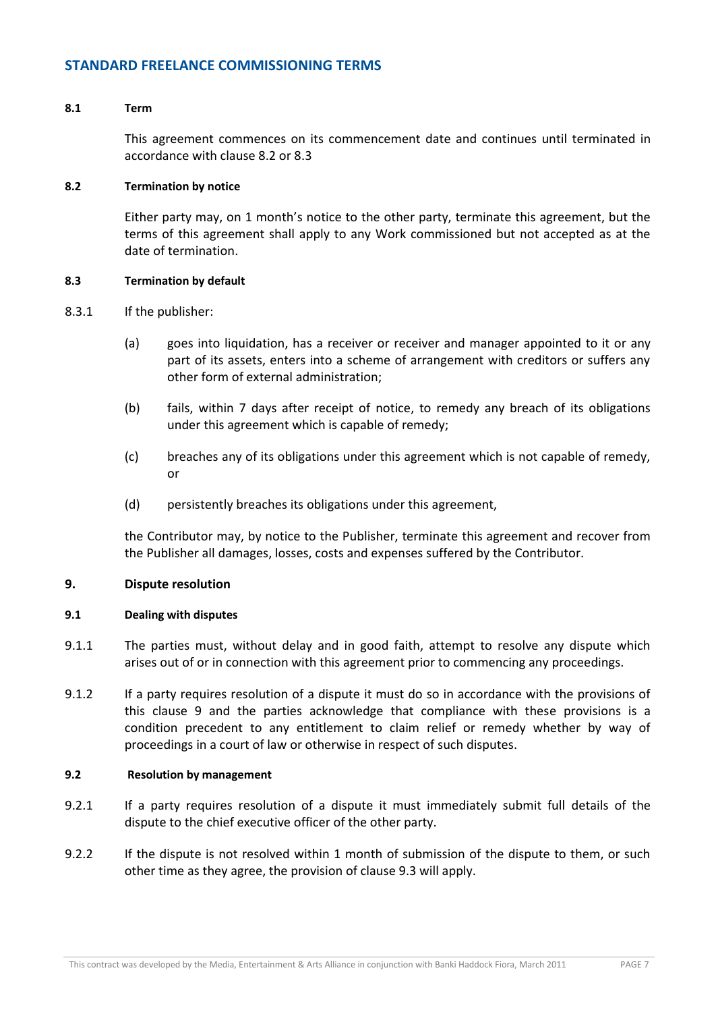#### **8.1 Term**

This agreement commences on its commencement date and continues until terminated in accordance with clause 8.2 or 8.3

#### **8.2 Termination by notice**

Either party may, on 1 month's notice to the other party, terminate this agreement, but the terms of this agreement shall apply to any Work commissioned but not accepted as at the date of termination.

#### **8.3 Termination by default**

- 8.3.1 If the publisher:
	- (a) goes into liquidation, has a receiver or receiver and manager appointed to it or any part of its assets, enters into a scheme of arrangement with creditors or suffers any other form of external administration;
	- (b) fails, within 7 days after receipt of notice, to remedy any breach of its obligations under this agreement which is capable of remedy;
	- (c) breaches any of its obligations under this agreement which is not capable of remedy, or
	- (d) persistently breaches its obligations under this agreement,

the Contributor may, by notice to the Publisher, terminate this agreement and recover from the Publisher all damages, losses, costs and expenses suffered by the Contributor.

#### **9. Dispute resolution**

#### **9.1 Dealing with disputes**

- 9.1.1 The parties must, without delay and in good faith, attempt to resolve any dispute which arises out of or in connection with this agreement prior to commencing any proceedings.
- 9.1.2 If a party requires resolution of a dispute it must do so in accordance with the provisions of this clause 9 and the parties acknowledge that compliance with these provisions is a condition precedent to any entitlement to claim relief or remedy whether by way of proceedings in a court of law or otherwise in respect of such disputes.

#### **9.2 Resolution by management**

- 9.2.1 If a party requires resolution of a dispute it must immediately submit full details of the dispute to the chief executive officer of the other party.
- 9.2.2 If the dispute is not resolved within 1 month of submission of the dispute to them, or such other time as they agree, the provision of clause 9.3 will apply.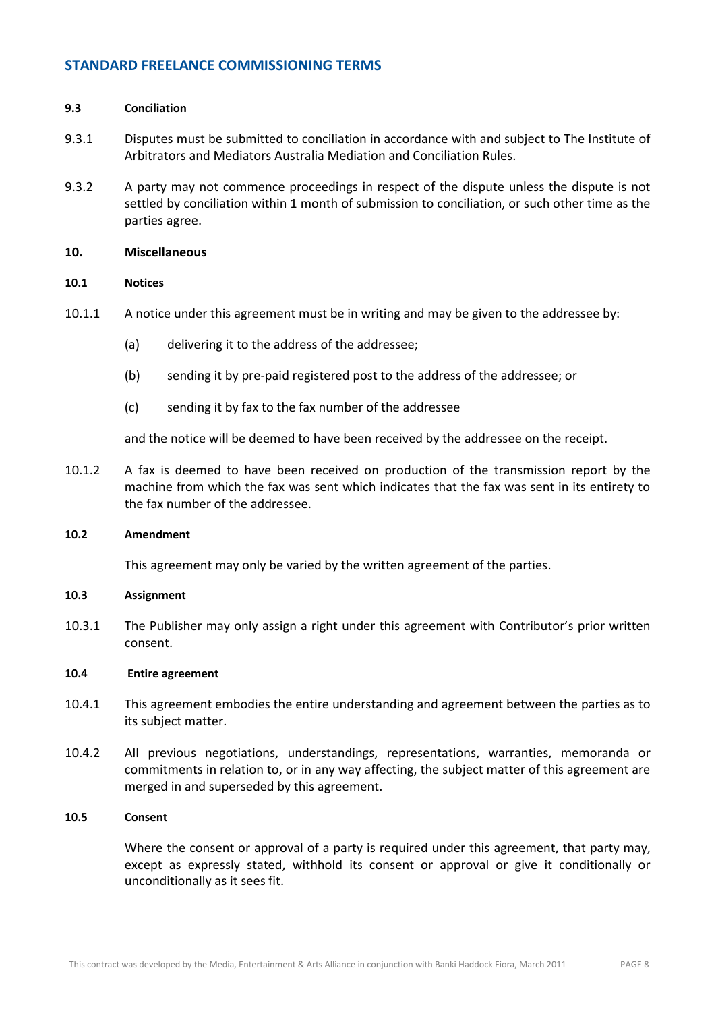#### **9.3 Conciliation**

- 9.3.1 Disputes must be submitted to conciliation in accordance with and subject to The Institute of Arbitrators and Mediators Australia Mediation and Conciliation Rules.
- 9.3.2 A party may not commence proceedings in respect of the dispute unless the dispute is not settled by conciliation within 1 month of submission to conciliation, or such other time as the parties agree.

#### **10. Miscellaneous**

## **10.1 Notices**

- 10.1.1 A notice under this agreement must be in writing and may be given to the addressee by:
	- (a) delivering it to the address of the addressee;
	- (b) sending it by pre-paid registered post to the address of the addressee; or
	- (c) sending it by fax to the fax number of the addressee

and the notice will be deemed to have been received by the addressee on the receipt.

10.1.2 A fax is deemed to have been received on production of the transmission report by the machine from which the fax was sent which indicates that the fax was sent in its entirety to the fax number of the addressee.

#### **10.2 Amendment**

This agreement may only be varied by the written agreement of the parties.

#### **10.3 Assignment**

10.3.1 The Publisher may only assign a right under this agreement with Contributor's prior written consent.

#### **10.4 Entire agreement**

- 10.4.1 This agreement embodies the entire understanding and agreement between the parties as to its subject matter.
- 10.4.2 All previous negotiations, understandings, representations, warranties, memoranda or commitments in relation to, or in any way affecting, the subject matter of this agreement are merged in and superseded by this agreement.

#### **10.5 Consent**

Where the consent or approval of a party is required under this agreement, that party may, except as expressly stated, withhold its consent or approval or give it conditionally or unconditionally as it sees fit.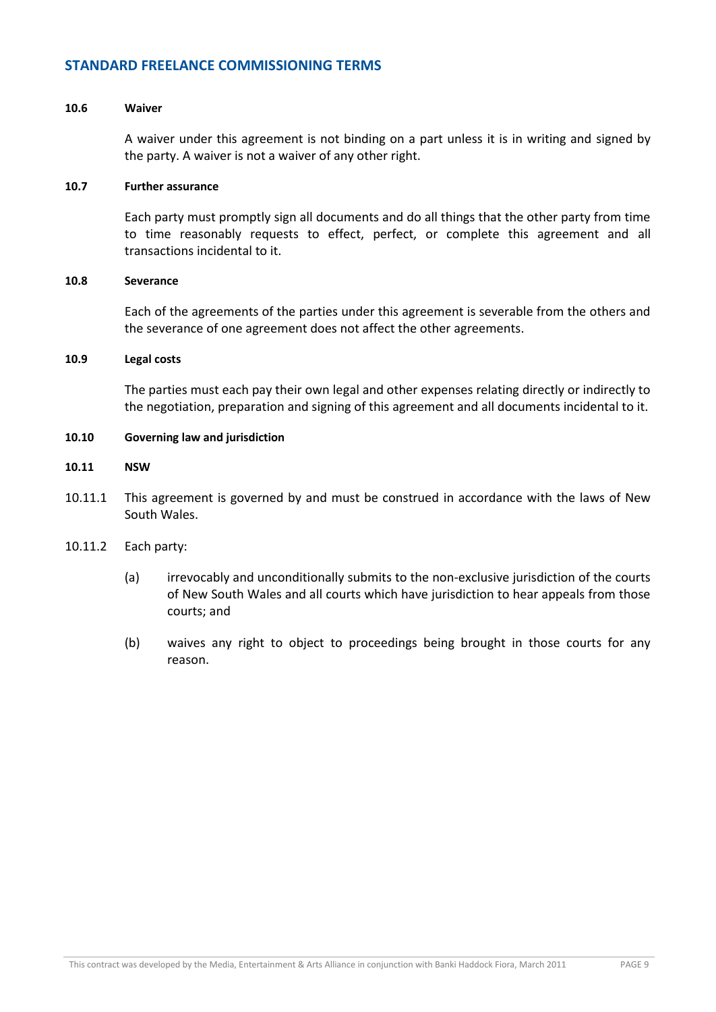#### **10.6 Waiver**

A waiver under this agreement is not binding on a part unless it is in writing and signed by the party. A waiver is not a waiver of any other right.

#### **10.7 Further assurance**

Each party must promptly sign all documents and do all things that the other party from time to time reasonably requests to effect, perfect, or complete this agreement and all transactions incidental to it.

#### **10.8 Severance**

Each of the agreements of the parties under this agreement is severable from the others and the severance of one agreement does not affect the other agreements.

#### **10.9 Legal costs**

The parties must each pay their own legal and other expenses relating directly or indirectly to the negotiation, preparation and signing of this agreement and all documents incidental to it.

#### **10.10 Governing law and jurisdiction**

#### **10.11 NSW**

- 10.11.1 This agreement is governed by and must be construed in accordance with the laws of New South Wales.
- 10.11.2 Each party:
	- (a) irrevocably and unconditionally submits to the non-exclusive jurisdiction of the courts of New South Wales and all courts which have jurisdiction to hear appeals from those courts; and
	- (b) waives any right to object to proceedings being brought in those courts for any reason.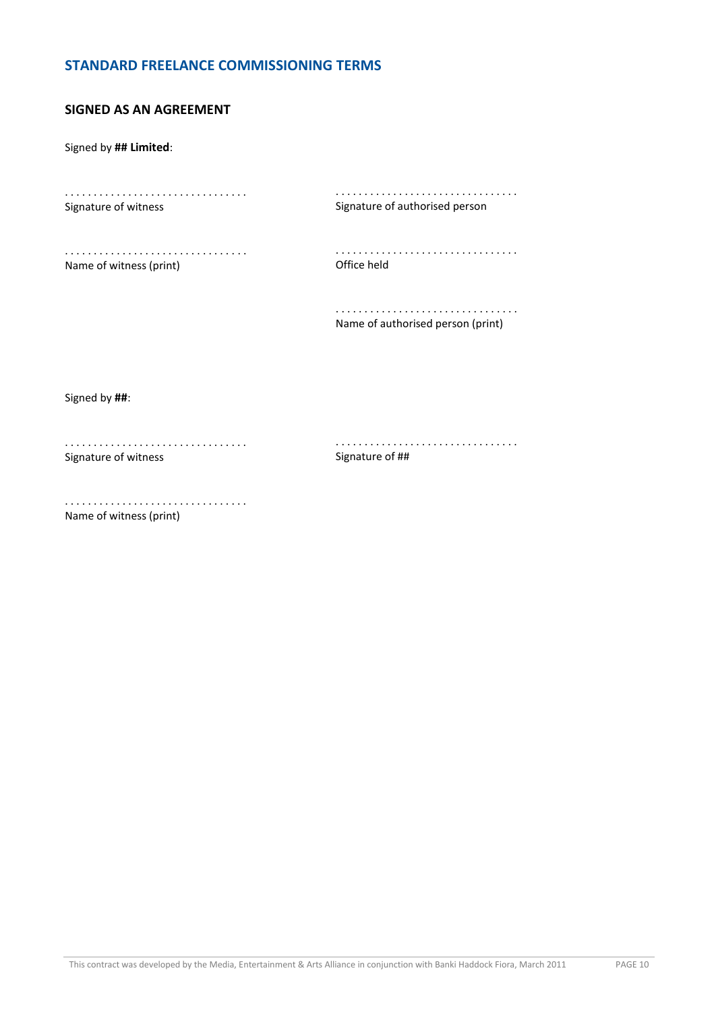# **SIGNED AS AN AGREEMENT**

Signed by **## Limited**:

. . . . . . . . . . . . . . . . . . . . . . . . . . . . . . . . Signature of witness

. . . . . . . . . . . . . . . . . . . . . . . . . . . . . . . . Signature of authorised person

. . . . . . . . . . . . . . . . . . . . . . . . . . . . . . . . Name of witness (print)

. . . . . . . . . . . . . . . . . . . . . . . . . . . . . . . . Office held

. . . . . . . . . . . . . . . . . . . . . . . . . . . . . . . . Name of authorised person (print)

Signed by **##**:

. . . . . . . . . . . . . . . . . . . . . . . . . . . . . . . . Signature of witness

. . . . . . . . . . . . . . . . . . . . . . . . . . . . . . . . Signature of ##

. . . . . . . . . . . . . . . . . . . . . . . . . . . . . . . . Name of witness (print)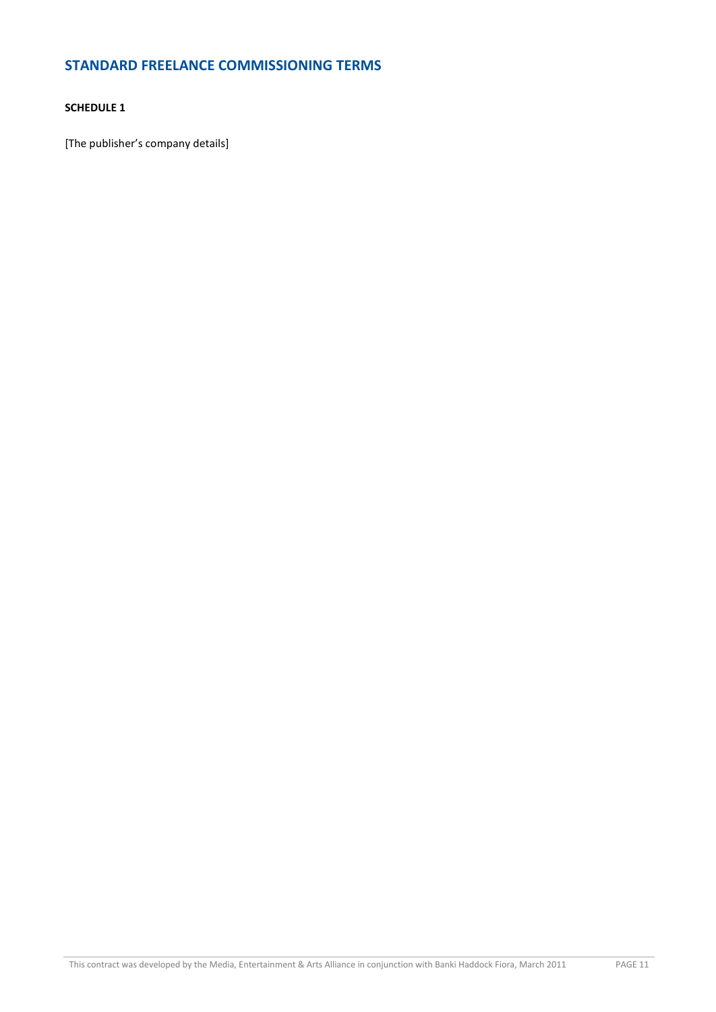## **SCHEDULE 1**

[The publisher's company details]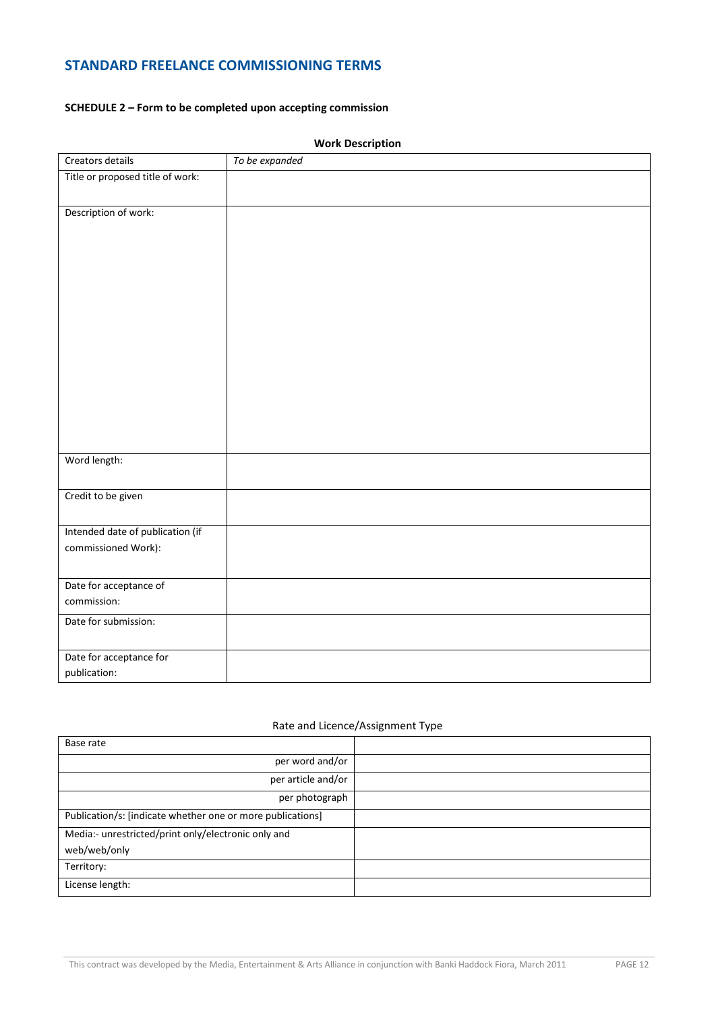# **SCHEDULE 2 – Form to be completed upon accepting commission**

| Creators details                 | To be expanded |
|----------------------------------|----------------|
| Title or proposed title of work: |                |
|                                  |                |
| Description of work:             |                |
|                                  |                |
|                                  |                |
|                                  |                |
|                                  |                |
|                                  |                |
|                                  |                |
|                                  |                |
|                                  |                |
|                                  |                |
|                                  |                |
|                                  |                |
|                                  |                |
|                                  |                |
| Word length:                     |                |
|                                  |                |
| Credit to be given               |                |
|                                  |                |
| Intended date of publication (if |                |
| commissioned Work):              |                |
|                                  |                |
| Date for acceptance of           |                |
| commission:                      |                |
| Date for submission:             |                |
|                                  |                |
| Date for acceptance for          |                |
| publication:                     |                |

#### **Work Description**

## Rate and Licence/Assignment Type

| Base rate                                                  |  |
|------------------------------------------------------------|--|
| per word and/or                                            |  |
| per article and/or                                         |  |
| per photograph                                             |  |
| Publication/s: [indicate whether one or more publications] |  |
| Media:- unrestricted/print only/electronic only and        |  |
| web/web/only                                               |  |
| Territory:                                                 |  |
| License length:                                            |  |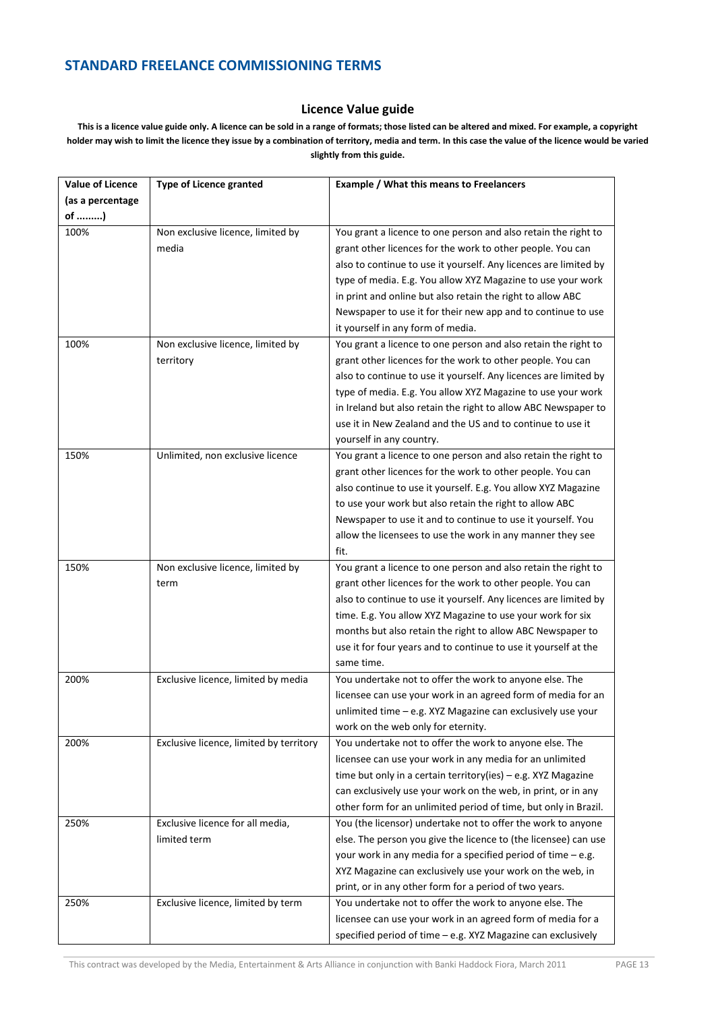#### **Licence Value guide**

**This is a licence value guide only. A licence can be sold in a range of formats; those listed can be altered and mixed. For example, a copyright holder may wish to limit the licence they issue by a combination of territory, media and term. In this case the value of the licence would be varied slightly from this guide.** 

| <b>Value of Licence</b> | <b>Type of Licence granted</b>          | <b>Example / What this means to Freelancers</b>                  |
|-------------------------|-----------------------------------------|------------------------------------------------------------------|
| (as a percentage        |                                         |                                                                  |
| of )                    |                                         |                                                                  |
| 100%                    | Non exclusive licence, limited by       | You grant a licence to one person and also retain the right to   |
|                         | media                                   | grant other licences for the work to other people. You can       |
|                         |                                         | also to continue to use it yourself. Any licences are limited by |
|                         |                                         | type of media. E.g. You allow XYZ Magazine to use your work      |
|                         |                                         | in print and online but also retain the right to allow ABC       |
|                         |                                         | Newspaper to use it for their new app and to continue to use     |
|                         |                                         | it yourself in any form of media.                                |
| 100%                    | Non exclusive licence, limited by       | You grant a licence to one person and also retain the right to   |
|                         | territory                               | grant other licences for the work to other people. You can       |
|                         |                                         | also to continue to use it yourself. Any licences are limited by |
|                         |                                         | type of media. E.g. You allow XYZ Magazine to use your work      |
|                         |                                         | in Ireland but also retain the right to allow ABC Newspaper to   |
|                         |                                         | use it in New Zealand and the US and to continue to use it       |
|                         |                                         | yourself in any country.                                         |
| 150%                    | Unlimited, non exclusive licence        | You grant a licence to one person and also retain the right to   |
|                         |                                         | grant other licences for the work to other people. You can       |
|                         |                                         | also continue to use it yourself. E.g. You allow XYZ Magazine    |
|                         |                                         | to use your work but also retain the right to allow ABC          |
|                         |                                         | Newspaper to use it and to continue to use it yourself. You      |
|                         |                                         | allow the licensees to use the work in any manner they see       |
|                         |                                         | fit.                                                             |
| 150%                    | Non exclusive licence, limited by       | You grant a licence to one person and also retain the right to   |
|                         | term                                    | grant other licences for the work to other people. You can       |
|                         |                                         | also to continue to use it yourself. Any licences are limited by |
|                         |                                         | time. E.g. You allow XYZ Magazine to use your work for six       |
|                         |                                         | months but also retain the right to allow ABC Newspaper to       |
|                         |                                         | use it for four years and to continue to use it yourself at the  |
|                         |                                         | same time.                                                       |
| 200%                    | Exclusive licence, limited by media     | You undertake not to offer the work to anyone else. The          |
|                         |                                         | licensee can use your work in an agreed form of media for an     |
|                         |                                         | unlimited time - e.g. XYZ Magazine can exclusively use your      |
|                         |                                         | work on the web only for eternity.                               |
| 200%                    | Exclusive licence, limited by territory | You undertake not to offer the work to anyone else. The          |
|                         |                                         | licensee can use your work in any media for an unlimited         |
|                         |                                         | time but only in a certain territory(ies) - e.g. XYZ Magazine    |
|                         |                                         | can exclusively use your work on the web, in print, or in any    |
|                         |                                         | other form for an unlimited period of time, but only in Brazil.  |
| 250%                    | Exclusive licence for all media.        | You (the licensor) undertake not to offer the work to anyone     |
|                         | limited term                            | else. The person you give the licence to (the licensee) can use  |
|                         |                                         | your work in any media for a specified period of time - e.g.     |
|                         |                                         | XYZ Magazine can exclusively use your work on the web, in        |
|                         |                                         | print, or in any other form for a period of two years.           |
| 250%                    | Exclusive licence, limited by term      | You undertake not to offer the work to anyone else. The          |
|                         |                                         | licensee can use your work in an agreed form of media for a      |
|                         |                                         | specified period of time - e.g. XYZ Magazine can exclusively     |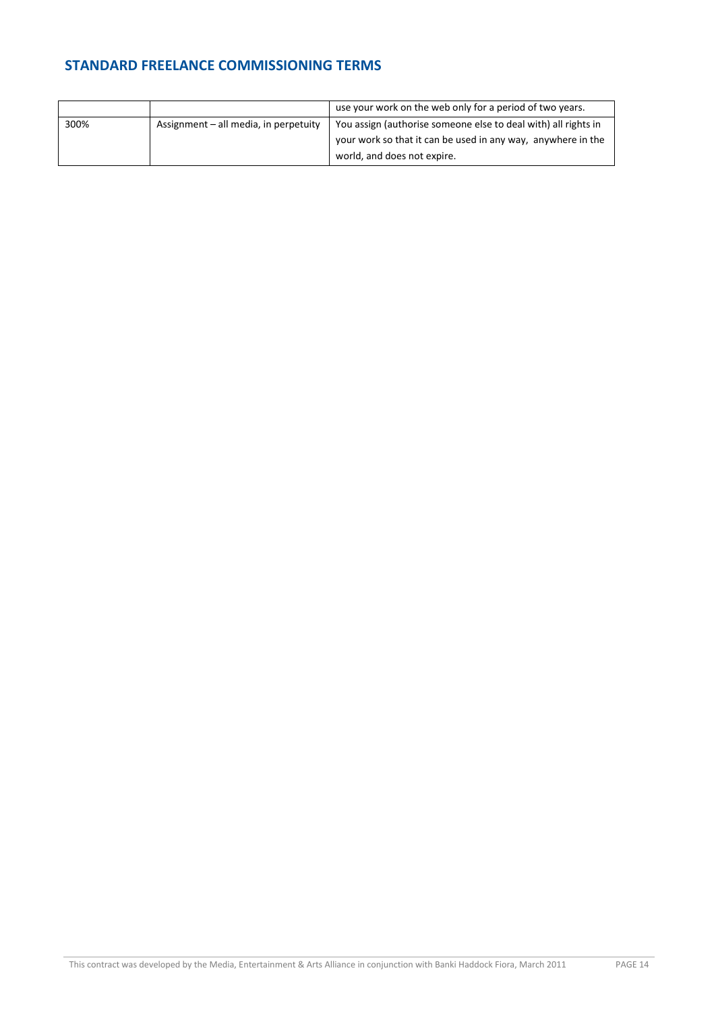|      |                                       | use your work on the web only for a period of two years.       |
|------|---------------------------------------|----------------------------------------------------------------|
| 300% | Assignment – all media, in perpetuity | You assign (authorise someone else to deal with) all rights in |
|      |                                       | your work so that it can be used in any way, anywhere in the   |
|      |                                       | world, and does not expire.                                    |